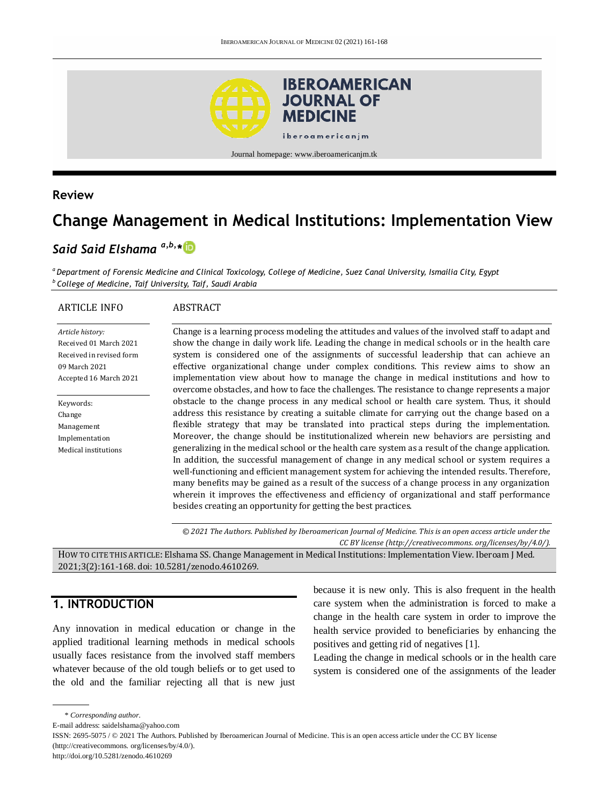

### **Review**

# **Change Management in Medical Institutions: Implementation View**

# *Said Said Elshama a,b,\**

*<sup>a</sup> Department of Forensic Medicine and Clinical Toxicology, College of Medicine, Suez Canal University, Ismailia City, Egypt <sup>b</sup>College of Medicine, Taif University, Taif, Saudi Arabia*

#### ARTICLE INFO

#### ABSTRACT

*Article history:* Received 01 March 2021 Received in revised form 09 March 2021 Accepted 16 March 2021

Keywords: Change Management Implementation Medical institutions Change is a learning process modeling the attitudes and values of the involved staff to adapt and show the change in daily work life. Leading the change in medical schools or in the health care system is considered one of the assignments of successful leadership that can achieve an effective organizational change under complex conditions. This review aims to show an implementation view about how to manage the change in medical institutions and how to overcome obstacles, and how to face the challenges. The resistance to change represents a major obstacle to the change process in any medical school or health care system. Thus, it should address this resistance by creating a suitable climate for carrying out the change based on a flexible strategy that may be translated into practical steps during the implementation. Moreover, the change should be institutionalized wherein new behaviors are persisting and generalizing in the medical school or the health care system as a result of the change application. In addition, the successful management of change in any medical school or system requires a well-functioning and efficient management system for achieving the intended results. Therefore, many benefits may be gained as a result of the success of a change process in any organization wherein it improves the effectiveness and efficiency of organizational and staff performance besides creating an opportunity for getting the best practices.

*© 2021 The Authors. Published by Iberoamerican Journal of Medicine. This is an open access article under the CC BY license (http:/[/creativecommons. org/licenses/by/4.0/\)](https://creativecommons.org/licenses/by/4.0/).*

HOW TO CITE THIS ARTICLE: Elshama SS. Change Management in Medical Institutions: Implementation View. Iberoam J Med. 2021;3(2):161-168. doi[: 10.5281/zenodo.4610269.](http://doi.org/10.5281/zenodo.4610269)

# **1. INTRODUCTION**

Any innovation in medical education or change in the applied traditional learning methods in medical schools usually faces resistance from the involved staff members whatever because of the old tough beliefs or to get used to the old and the familiar rejecting all that is new just

because it is new only. This is also frequent in the health care system when the administration is forced to make a change in the health care system in order to improve the health service provided to beneficiaries by enhancing the positives and getting rid of negatives [1].

Leading the change in medical schools or in the health care system is considered one of the assignments of the leader

<sup>\*</sup> *Corresponding author.*

E-mail address: saidelshama@yahoo.com

ISSN: 2695-5075 / © 2021 The Authors. Published by Iberoamerican Journal of Medicine. This is an open access article under the CC BY license (http://creativecommons. org/licenses/by/4.0/).

http://doi.org/10.5281/zenodo.4610269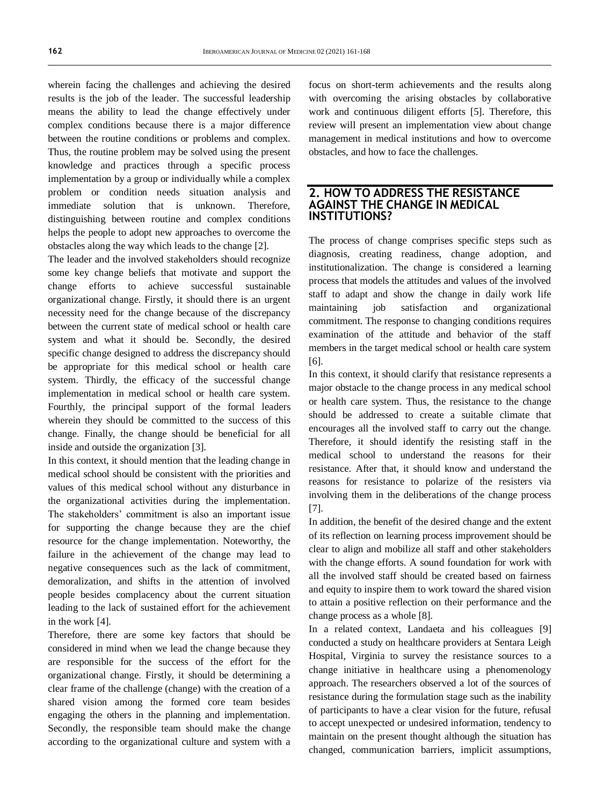wherein facing the challenges and achieving the desired results is the job of the leader. The successful leadership means the ability to lead the change effectively under complex conditions because there is a major difference between the routine conditions or problems and complex. Thus, the routine problem may be solved using the present knowledge and practices through a specific process implementation by a group or individually while a complex problem or condition needs situation analysis and immediate solution that is unknown. Therefore, distinguishing between routine and complex conditions helps the people to adopt new approaches to overcome the obstacles along the way which leads to the change [2].

The leader and the involved stakeholders should recognize some key change beliefs that motivate and support the change efforts to achieve successful sustainable organizational change. Firstly, it should there is an urgent necessity need for the change because of the discrepancy between the current state of medical school or health care system and what it should be. Secondly, the desired specific change designed to address the discrepancy should be appropriate for this medical school or health care system. Thirdly, the efficacy of the successful change implementation in medical school or health care system. Fourthly, the principal support of the formal leaders wherein they should be committed to the success of this change. Finally, the change should be beneficial for all inside and outside the organization [3].

In this context, it should mention that the leading change in medical school should be consistent with the priorities and values of this medical school without any disturbance in the organizational activities during the implementation. The stakeholders' commitment is also an important issue for supporting the change because they are the chief resource for the change implementation. Noteworthy, the failure in the achievement of the change may lead to negative consequences such as the lack of commitment, demoralization, and shifts in the attention of involved people besides complacency about the current situation leading to the lack of sustained effort for the achievement in the work [4].

Therefore, there are some key factors that should be considered in mind when we lead the change because they are responsible for the success of the effort for the organizational change. Firstly, it should be determining a clear frame of the challenge (change) with the creation of a shared vision among the formed core team besides engaging the others in the planning and implementation. Secondly, the responsible team should make the change according to the organizational culture and system with a focus on short-term achievements and the results along with overcoming the arising obstacles by collaborative work and continuous diligent efforts [5]. Therefore, this review will present an implementation view about change management in medical institutions and how to overcome obstacles, and how to face the challenges.

#### **2. HOW TO ADDRESS THE RESISTANCE AGAINST THE CHANGE IN MEDICAL INSTITUTIONS?**

The process of change comprises specific steps such as diagnosis, creating readiness, change adoption, and institutionalization. The change is considered a learning process that models the attitudes and values of the involved staff to adapt and show the change in daily work life maintaining job satisfaction and organizational commitment. The response to changing conditions requires examination of the attitude and behavior of the staff members in the target medical school or health care system [6].

In this context, it should clarify that resistance represents a major obstacle to the change process in any medical school or health care system. Thus, the resistance to the change should be addressed to create a suitable climate that encourages all the involved staff to carry out the change. Therefore, it should identify the resisting staff in the medical school to understand the reasons for their resistance. After that, it should know and understand the reasons for resistance to polarize of the resisters via involving them in the deliberations of the change process [7].

In addition, the benefit of the desired change and the extent of its reflection on learning process improvement should be clear to align and mobilize all staff and other stakeholders with the change efforts. A sound foundation for work with all the involved staff should be created based on fairness and equity to inspire them to work toward the shared vision to attain a positive reflection on their performance and the change process as a whole [8].

In a related context, Landaeta and his colleagues [9] conducted a study on healthcare providers at Sentara Leigh Hospital, Virginia to survey the resistance sources to a change initiative in healthcare using a phenomenology approach. The researchers observed a lot of the sources of resistance during the formulation stage such as the inability of participants to have a clear vision for the future, refusal to accept unexpected or undesired information, tendency to maintain on the present thought although the situation has changed, communication barriers, implicit assumptions,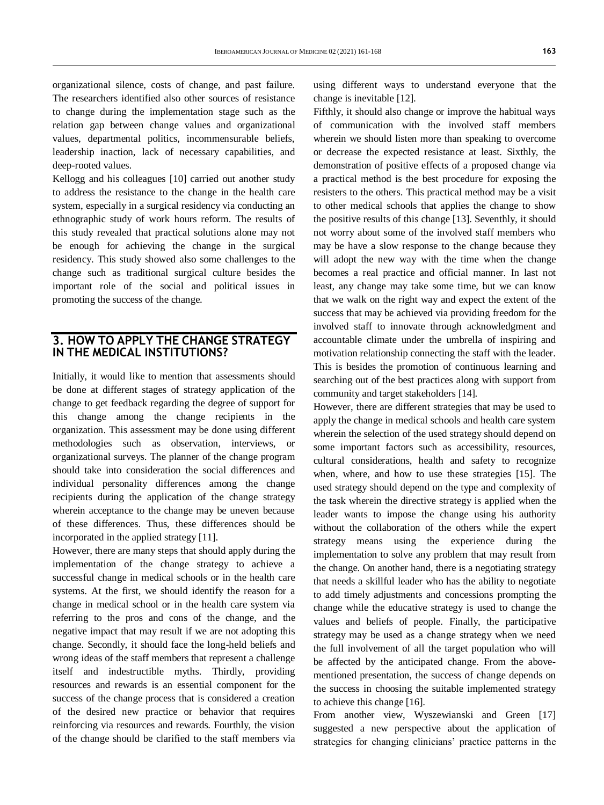organizational silence, costs of change, and past failure. The researchers identified also other sources of resistance to change during the implementation stage such as the relation gap between change values and organizational values, departmental politics, incommensurable beliefs, leadership inaction, lack of necessary capabilities, and deep-rooted values.

Kellogg and his colleagues [10] carried out another study to address the resistance to the change in the health care system, especially in a surgical residency via conducting an ethnographic study of work hours reform. The results of this study revealed that practical solutions alone may not be enough for achieving the change in the surgical residency. This study showed also some challenges to the change such as traditional surgical culture besides the important role of the social and political issues in promoting the success of the change.

## **3. HOW TO APPLY THE CHANGE STRATEGY IN THE MEDICAL INSTITUTIONS?**

Initially, it would like to mention that assessments should be done at different stages of strategy application of the change to get feedback regarding the degree of support for this change among the change recipients in the organization. This assessment may be done using different methodologies such as observation, interviews, or organizational surveys. The planner of the change program should take into consideration the social differences and individual personality differences among the change recipients during the application of the change strategy wherein acceptance to the change may be uneven because of these differences. Thus, these differences should be incorporated in the applied strategy [11].

However, there are many steps that should apply during the implementation of the change strategy to achieve a successful change in medical schools or in the health care systems. At the first, we should identify the reason for a change in medical school or in the health care system via referring to the pros and cons of the change, and the negative impact that may result if we are not adopting this change. Secondly, it should face the long-held beliefs and wrong ideas of the staff members that represent a challenge itself and indestructible myths. Thirdly, providing resources and rewards is an essential component for the success of the change process that is considered a creation of the desired new practice or behavior that requires reinforcing via resources and rewards. Fourthly, the vision of the change should be clarified to the staff members via

using different ways to understand everyone that the change is inevitable [12].

Fifthly, it should also change or improve the habitual ways of communication with the involved staff members wherein we should listen more than speaking to overcome or decrease the expected resistance at least. Sixthly, the demonstration of positive effects of a proposed change via a practical method is the best procedure for exposing the resisters to the others. This practical method may be a visit to other medical schools that applies the change to show the positive results of this change [13]. Seventhly, it should not worry about some of the involved staff members who may be have a slow response to the change because they will adopt the new way with the time when the change becomes a real practice and official manner. In last not least, any change may take some time, but we can know that we walk on the right way and expect the extent of the success that may be achieved via providing freedom for the involved staff to innovate through acknowledgment and accountable climate under the umbrella of inspiring and motivation relationship connecting the staff with the leader. This is besides the promotion of continuous learning and searching out of the best practices along with support from community and target stakeholders [14].

However, there are different strategies that may be used to apply the change in medical schools and health care system wherein the selection of the used strategy should depend on some important factors such as accessibility, resources, cultural considerations, health and safety to recognize when, where, and how to use these strategies [15]. The used strategy should depend on the type and complexity of the task wherein the directive strategy is applied when the leader wants to impose the change using his authority without the collaboration of the others while the expert strategy means using the experience during the implementation to solve any problem that may result from the change. On another hand, there is a negotiating strategy that needs a skillful leader who has the ability to negotiate to add timely adjustments and concessions prompting the change while the educative strategy is used to change the values and beliefs of people. Finally, the participative strategy may be used as a change strategy when we need the full involvement of all the target population who will be affected by the anticipated change. From the abovementioned presentation, the success of change depends on the success in choosing the suitable implemented strategy to achieve this change [16].

From another view, Wyszewianski and Green [17] suggested a new perspective about the application of strategies for changing clinicians' practice patterns in the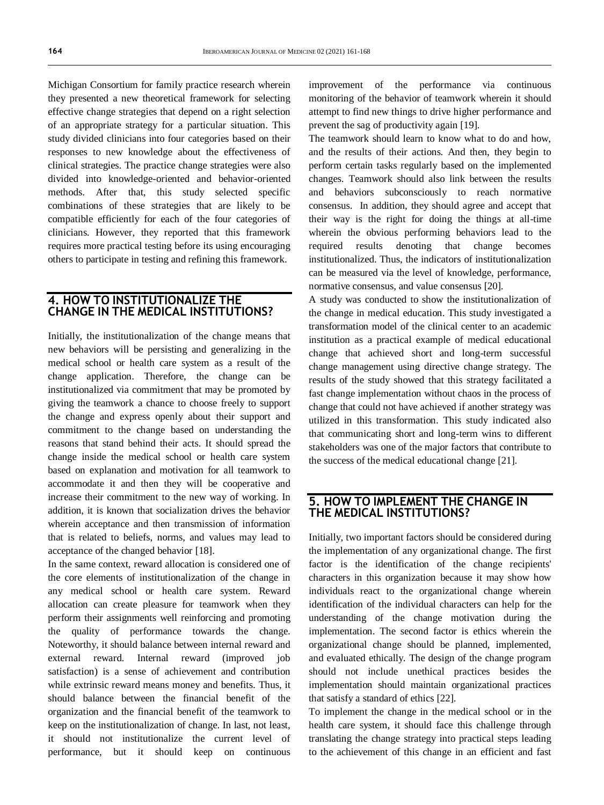Michigan Consortium for family practice research wherein they presented a new theoretical framework for selecting effective change strategies that depend on a right selection of an appropriate strategy for a particular situation. This study divided clinicians into four categories based on their responses to new knowledge about the effectiveness of clinical strategies. The practice change strategies were also divided into knowledge-oriented and behavior-oriented methods. After that, this study selected specific combinations of these strategies that are likely to be compatible efficiently for each of the four categories of clinicians. However, they reported that this framework requires more practical testing before its using encouraging others to participate in testing and refining this framework.

#### **4. HOW TO INSTITUTIONALIZE THE CHANGE IN THE MEDICAL INSTITUTIONS?**

Initially, the institutionalization of the change means that new behaviors will be persisting and generalizing in the medical school or health care system as a result of the change application. Therefore, the change can be institutionalized via commitment that may be promoted by giving the teamwork a chance to choose freely to support the change and express openly about their support and commitment to the change based on understanding the reasons that stand behind their acts. It should spread the change inside the medical school or health care system based on explanation and motivation for all teamwork to accommodate it and then they will be cooperative and increase their commitment to the new way of working. In addition, it is known that socialization drives the behavior wherein acceptance and then transmission of information that is related to beliefs, norms, and values may lead to acceptance of the changed behavior [18].

In the same context, reward allocation is considered one of the core elements of institutionalization of the change in any medical school or health care system. Reward allocation can create pleasure for teamwork when they perform their assignments well reinforcing and promoting the quality of performance towards the change. Noteworthy, it should balance between internal reward and external reward. Internal reward (improved job satisfaction) is a sense of achievement and contribution while extrinsic reward means money and benefits. Thus, it should balance between the financial benefit of the organization and the financial benefit of the teamwork to keep on the institutionalization of change. In last, not least, it should not institutionalize the current level of performance, but it should keep on continuous improvement of the performance via continuous monitoring of the behavior of teamwork wherein it should attempt to find new things to drive higher performance and prevent the sag of productivity again [19].

The teamwork should learn to know what to do and how, and the results of their actions. And then, they begin to perform certain tasks regularly based on the implemented changes. Teamwork should also link between the results and behaviors subconsciously to reach normative consensus. In addition, they should agree and accept that their way is the right for doing the things at all-time wherein the obvious performing behaviors lead to the required results denoting that change becomes institutionalized. Thus, the indicators of institutionalization can be measured via the level of knowledge, performance, normative consensus, and value consensus [20].

A study was conducted to show the institutionalization of the change in medical education. This study investigated a transformation model of the clinical center to an academic institution as a practical example of medical educational change that achieved short and long-term successful change management using directive change strategy. The results of the study showed that this strategy facilitated a fast change implementation without chaos in the process of change that could not have achieved if another strategy was utilized in this transformation. This study indicated also that communicating short and long-term wins to different stakeholders was one of the major factors that contribute to the success of the medical educational change [21].

#### **5. HOW TO IMPLEMENT THE CHANGE IN THE MEDICAL INSTITUTIONS?**

Initially, two important factors should be considered during the implementation of any organizational change. The first factor is the identification of the change recipients' characters in this organization because it may show how individuals react to the organizational change wherein identification of the individual characters can help for the understanding of the change motivation during the implementation. The second factor is ethics wherein the organizational change should be planned, implemented, and evaluated ethically. The design of the change program should not include unethical practices besides the implementation should maintain organizational practices that satisfy a standard of ethics [22].

To implement the change in the medical school or in the health care system, it should face this challenge through translating the change strategy into practical steps leading to the achievement of this change in an efficient and fast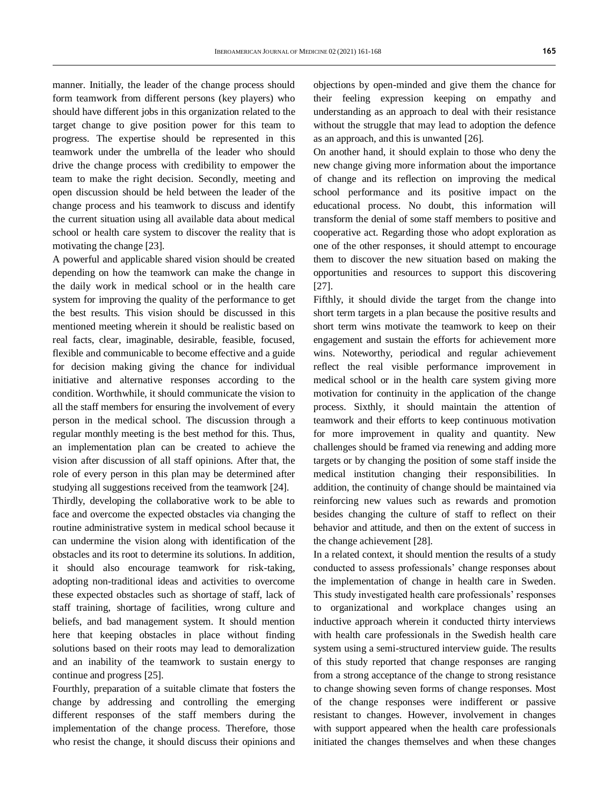manner. Initially, the leader of the change process should form teamwork from different persons (key players) who should have different jobs in this organization related to the target change to give position power for this team to progress. The expertise should be represented in this teamwork under the umbrella of the leader who should drive the change process with credibility to empower the team to make the right decision. Secondly, meeting and open discussion should be held between the leader of the change process and his teamwork to discuss and identify the current situation using all available data about medical school or health care system to discover the reality that is motivating the change [23].

A powerful and applicable shared vision should be created depending on how the teamwork can make the change in the daily work in medical school or in the health care system for improving the quality of the performance to get the best results. This vision should be discussed in this mentioned meeting wherein it should be realistic based on real facts, clear, imaginable, desirable, feasible, focused, flexible and communicable to become effective and a guide for decision making giving the chance for individual initiative and alternative responses according to the condition. Worthwhile, it should communicate the vision to all the staff members for ensuring the involvement of every person in the medical school. The discussion through a regular monthly meeting is the best method for this. Thus, an implementation plan can be created to achieve the vision after discussion of all staff opinions. After that, the role of every person in this plan may be determined after studying all suggestions received from the teamwork [24].

Thirdly, developing the collaborative work to be able to face and overcome the expected obstacles via changing the routine administrative system in medical school because it can undermine the vision along with identification of the obstacles and its root to determine its solutions. In addition, it should also encourage teamwork for risk-taking, adopting non-traditional ideas and activities to overcome these expected obstacles such as shortage of staff, lack of staff training, shortage of facilities, wrong culture and beliefs, and bad management system. It should mention here that keeping obstacles in place without finding solutions based on their roots may lead to demoralization and an inability of the teamwork to sustain energy to continue and progress [25].

Fourthly, preparation of a suitable climate that fosters the change by addressing and controlling the emerging different responses of the staff members during the implementation of the change process. Therefore, those who resist the change, it should discuss their opinions and objections by open-minded and give them the chance for their feeling expression keeping on empathy and understanding as an approach to deal with their resistance without the struggle that may lead to adoption the defence as an approach, and this is unwanted [26].

On another hand, it should explain to those who deny the new change giving more information about the importance of change and its reflection on improving the medical school performance and its positive impact on the educational process. No doubt, this information will transform the denial of some staff members to positive and cooperative act. Regarding those who adopt exploration as one of the other responses, it should attempt to encourage them to discover the new situation based on making the opportunities and resources to support this discovering [27].

Fifthly, it should divide the target from the change into short term targets in a plan because the positive results and short term wins motivate the teamwork to keep on their engagement and sustain the efforts for achievement more wins. Noteworthy, periodical and regular achievement reflect the real visible performance improvement in medical school or in the health care system giving more motivation for continuity in the application of the change process. Sixthly, it should maintain the attention of teamwork and their efforts to keep continuous motivation for more improvement in quality and quantity. New challenges should be framed via renewing and adding more targets or by changing the position of some staff inside the medical institution changing their responsibilities. In addition, the continuity of change should be maintained via reinforcing new values such as rewards and promotion besides changing the culture of staff to reflect on their behavior and attitude, and then on the extent of success in the change achievement [28].

In a related context, it should mention the results of a study conducted to assess professionals' change responses about the implementation of change in health care in Sweden. This study investigated health care professionals' responses to organizational and workplace changes using an inductive approach wherein it conducted thirty interviews with health care professionals in the Swedish health care system using a semi-structured interview guide. The results of this study reported that change responses are ranging from a strong acceptance of the change to strong resistance to change showing seven forms of change responses. Most of the change responses were indifferent or passive resistant to changes. However, involvement in changes with support appeared when the health care professionals initiated the changes themselves and when these changes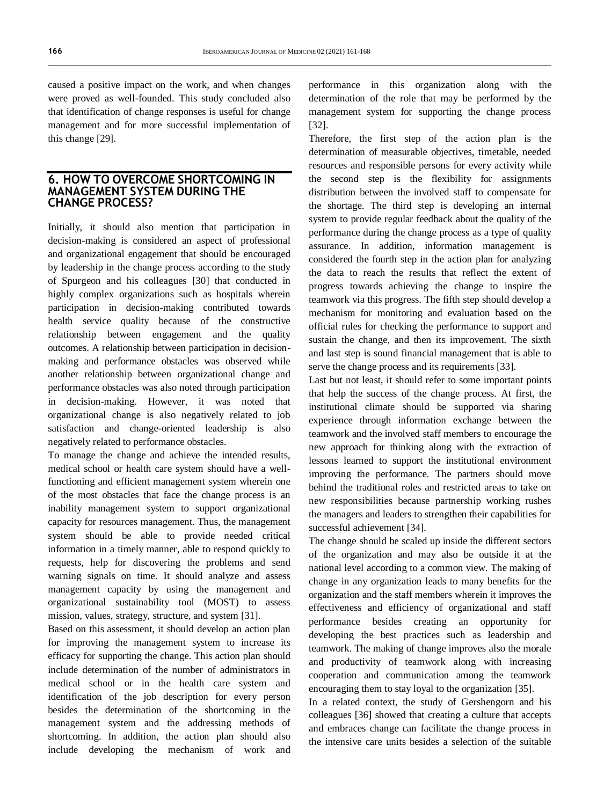caused a positive impact on the work, and when changes were proved as well-founded. This study concluded also that identification of change responses is useful for change management and for more successful implementation of this change [29].

#### **6. HOW TO OVERCOME SHORTCOMING IN MANAGEMENT SYSTEM DURING THE CHANGE PROCESS?**

Initially, it should also mention that participation in decision-making is considered an aspect of professional and organizational engagement that should be encouraged by leadership in the change process according to the study of Spurgeon and his colleagues [30] that conducted in highly complex organizations such as hospitals wherein participation in decision-making contributed towards health service quality because of the constructive relationship between engagement and the quality outcomes. A relationship between participation in decisionmaking and performance obstacles was observed while another relationship between organizational change and performance obstacles was also noted through participation in decision-making. However, it was noted that organizational change is also negatively related to job satisfaction and change-oriented leadership is also negatively related to performance obstacles.

To manage the change and achieve the intended results, medical school or health care system should have a wellfunctioning and efficient management system wherein one of the most obstacles that face the change process is an inability management system to support organizational capacity for resources management. Thus, the management system should be able to provide needed critical information in a timely manner, able to respond quickly to requests, help for discovering the problems and send warning signals on time. It should analyze and assess management capacity by using the management and organizational sustainability tool (MOST) to assess mission, values, strategy, structure, and system [31].

Based on this assessment, it should develop an action plan for improving the management system to increase its efficacy for supporting the change. This action plan should include determination of the number of administrators in medical school or in the health care system and identification of the job description for every person besides the determination of the shortcoming in the management system and the addressing methods of shortcoming. In addition, the action plan should also include developing the mechanism of work and performance in this organization along with the determination of the role that may be performed by the management system for supporting the change process [32].

Therefore, the first step of the action plan is the determination of measurable objectives, timetable, needed resources and responsible persons for every activity while the second step is the flexibility for assignments distribution between the involved staff to compensate for the shortage. The third step is developing an internal system to provide regular feedback about the quality of the performance during the change process as a type of quality assurance. In addition, information management is considered the fourth step in the action plan for analyzing the data to reach the results that reflect the extent of progress towards achieving the change to inspire the teamwork via this progress. The fifth step should develop a mechanism for monitoring and evaluation based on the official rules for checking the performance to support and sustain the change, and then its improvement. The sixth and last step is sound financial management that is able to serve the change process and its requirements [33].

Last but not least, it should refer to some important points that help the success of the change process. At first, the institutional climate should be supported via sharing experience through information exchange between the teamwork and the involved staff members to encourage the new approach for thinking along with the extraction of lessons learned to support the institutional environment improving the performance. The partners should move behind the traditional roles and restricted areas to take on new responsibilities because partnership working rushes the managers and leaders to strengthen their capabilities for successful achievement [34].

The change should be scaled up inside the different sectors of the organization and may also be outside it at the national level according to a common view. The making of change in any organization leads to many benefits for the organization and the staff members wherein it improves the effectiveness and efficiency of organizational and staff performance besides creating an opportunity for developing the best practices such as leadership and teamwork. The making of change improves also the morale and productivity of teamwork along with increasing cooperation and communication among the teamwork encouraging them to stay loyal to the organization [35].

In a related context, the study of Gershengorn and his colleagues [36] showed that creating a culture that accepts and embraces change can facilitate the change process in the intensive care units besides a selection of the suitable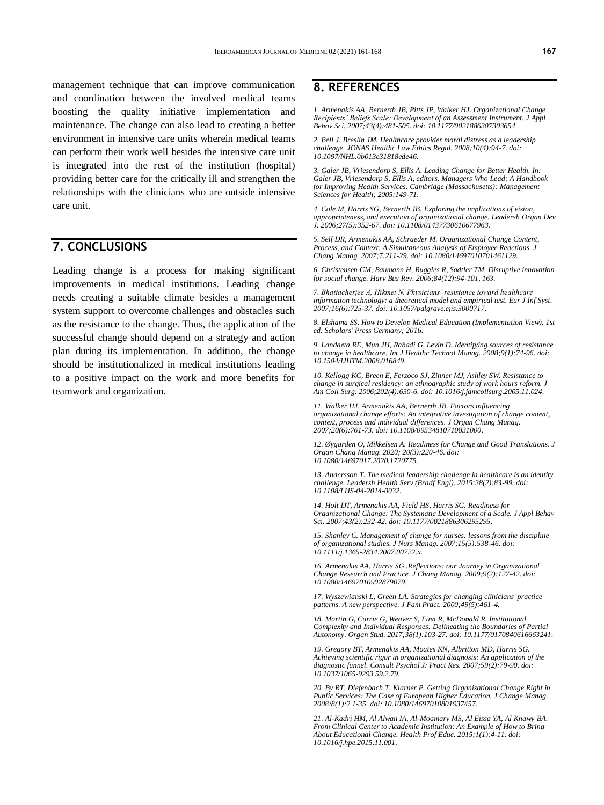management technique that can improve communication and coordination between the involved medical teams boosting the quality initiative implementation and maintenance. The change can also lead to creating a better environment in intensive care units wherein medical teams can perform their work well besides the intensive care unit is integrated into the rest of the institution (hospital) providing better care for the critically ill and strengthen the relationships with the clinicians who are outside intensive care unit.

# **7. CONCLUSIONS**

Leading change is a process for making significant improvements in medical institutions. Leading change needs creating a suitable climate besides a management system support to overcome challenges and obstacles such as the resistance to the change. Thus, the application of the successful change should depend on a strategy and action plan during its implementation. In addition, the change should be institutionalized in medical institutions leading to a positive impact on the work and more benefits for teamwork and organization.

# **8. REFERENCES**

*1. Armenakis AA, Bernerth JB, Pitts JP, Walker HJ. Organizational Change Recipients' Beliefs Scale: Development of an Assessment Instrument. J Appl Behav Sci. 2007;43(4):481-505. doi[: 10.1177/0021886307303654.](https://journals.sagepub.com/doi/10.1177/0021886307303654)*

*2. Bell J, Breslin JM. Healthcare provider moral distress as a leadership challenge. JONAS Healthc Law Ethics Regul. 2008;10(4):94-7. doi: [10.1097/NHL.0b013e31818ede46.](https://doi.org/10.1097/nhl.0b013e31818ede46)* 

*3. Galer JB, Vriesendorp S, Ellis A. Leading Change for Better Health. In: Galer JB, Vriesendorp S, Ellis A, editors. Managers Who Lead: A Handbook for Improving Health Services. Cambridge (Massachusetts): Management Sciences for Health; 2005:149-71.*

*4. Cole M, Harris SG, Bernerth JB. Exploring the implications of vision, appropriateness, and execution of organizational change. Leadersh Organ Dev J. 2006;27(5):352-67. doi[: 10.1108/01437730610677963.](http://dx.doi.org/10.1108/01437730610677963)*

*5. Self DR, Armenakis AA, Schraeder M. Organizational Change Content, Process, and Context: A Simultaneous Analysis of Employee Reactions. J Chang Manag. 2007;7:211-29. doi[: 10.1080/14697010701461129.](https://doi.org/10.1080/14697010701461129)*

*6. Christensen CM, Baumann H, Ruggles R, Sadtler TM. Disruptive innovation for social change. Harv Bus Rev. 2006;84(12):94-101, 163.*

*7. Bhattacherjee A, Hikmet N. Physicians' resistance toward healthcare information technology: a theoretical model and empirical test. Eur J Inf Syst. 2007;16(6):725-37. doi[: 10.1057/palgrave.ejis.3000717.](https://doi.org/10.1057/palgrave.ejis.3000717)*

*8. Elshama SS. How to Develop Medical Education (Implementation View). 1st ed. Scholars' Press Germany; 2016.*

*9. Landaeta RE, Mun JH, Rabadi G, Levin D. Identifying sources of resistance to change in healthcare. Int J Healthc Technol Manag. 2008;9(1):74-96. doi: [10.1504/IJHTM.2008.016849.](https://doi.org/10.1504/IJHTM.2008.016849)*

*10. Kellogg KC, Breen E, Ferzoco SJ, Zinner MJ, Ashley SW. Resistance to change in surgical residency: an ethnographic study of work hours reform. J Am Coll Surg. 2006;202(4):630-6. doi[: 10.1016/j.jamcollsurg.2005.11.024.](https://doi.org/10.1016/j.jamcollsurg.2005.11.024)*

*11. Walker HJ, Armenakis AA, Bernerth JB. Factors influencing organizational change efforts: An integrative investigation of change content, context, process and individual differences. J Organ Chang Manag. 2007;20(6):761-73. doi[: 10.1108/09534810710831000.](https://psycnet.apa.org/doi/10.1108/09534810710831000)*

*12. Øygarden O, Mikkelsen A. Readiness for Change and Good Translations. J Organ Chang Manag. 2020; 20(3):220-46. doi: [10.1080/14697017.2020.1720775.](https://doi.org/10.1080/14697017.2020.1720775)*

*13. Andersson T. The medical leadership challenge in healthcare is an identity challenge. Leadersh Health Serv (Bradf Engl). 2015;28(2):83-99. doi: [10.1108/LHS-04-2014-0032.](https://doi.org/10.1108/lhs-04-2014-0032)*

*14. Holt DT, Armenakis AA, Field HS, Harris SG. Readiness for Organizational Change: The Systematic Development of a Scale. J Appl Behav Sci. 2007;43(2):232-42. doi[: 10.1177/0021886306295295.](https://doi.org/10.1177%2F0021886306295295)*

*15. Shanley C. Management of change for nurses: lessons from the discipline of organizational studies. J Nurs Manag. 2007;15(5):538-46. doi: [10.1111/j.1365-2834.2007.00722.x.](https://doi.org/10.1111/j.1365-2834.2007.00722.x)*

*16. Armenakis AA, Harris SG .Reflections: our Journey in Organizational Change Research and Practice. J Chang Manag. 2009;9(2):127-42. doi: [10.1080/14697010902879079.](https://doi.org/10.1080/14697010902879079)*

*17. Wyszewianski L, Green LA. Strategies for changing clinicians' practice patterns. A new perspective. J Fam Pract. 2000;49(5):461-4.*

*18. Martin G, Currie G, Weaver S, Finn R, McDonald R. Institutional Complexity and Individual Responses: Delineating the Boundaries of Partial Autonomy. Organ Stud. 2017;38(1):103-27. doi[: 10.1177/0170840616663241.](https://doi.org/10.1177%2F0170840616663241)*

*19. Gregory BT, Armenakis AA, Moates KN, Albritton MD, Harris SG. Achieving scientific rigor in organizational diagnosis: An application of the diagnostic funnel. Consult Psychol J: Pract Res. 2007;59(2):79-90. doi: [10.1037/1065-9293.59.2.79.](https://psycnet.apa.org/doi/10.1037/1065-9293.59.2.79)*

*20. By RT, Diefenbach T, Klarner P. Getting Organizational Change Right in Public Services: The Case of European Higher Education. J Change Manag. 2008;8(1):2 1-35. doi[: 10.1080/14697010801937457.](https://doi.org/10.1080/14697010801937457)*

*21. Al-Kadri HM, Al Alwan IA, Al-Moamary MS, Al Eissa YA, Al Knawy BA. From Clinical Center to Academic Institution: An Example of How to Bring About Educational Change. Health Prof Educ. 2015;1(1):4-11. doi: [10.1016/j.hpe.2015.11.001.](https://doi.org/10.1016/j.hpe.2015.11.001)*